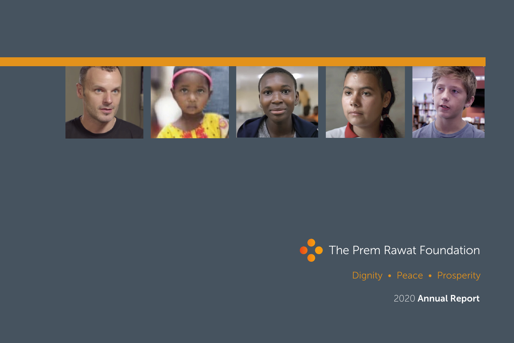

Dignity • Peace • Prosperity

2020 Annual Report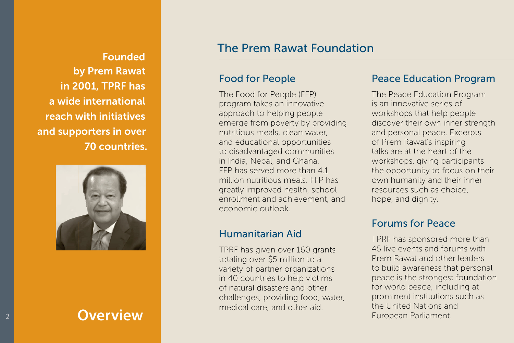Founded by Prem Rawat in 2001, TPRF has a wide international reach with initiatives and supporters in over 70 countries.



### The Prem Rawat Foundation

### Food for People

The Food for People (FFP) program takes an innovative approach to helping people emerge from poverty by providing nutritious meals, clean water, and educational opportunities to disadvantaged communities in India, Nepal, and Ghana. FFP has served more than 41 million nutritious meals. FFP has greatly improved health, school enrollment and achievement, and economic outlook.

### Humanitarian Aid

TPRF has given over 160 grants totaling over \$5 million to a variety of partner organizations in 40 countries to help victims of natural disasters and other challenges, providing food, water, medical care, and other aid.

#### Peace Education Program

The Peace Education Program is an innovative series of workshops that help people discover their own inner strength and personal peace. Excerpts of Prem Rawat's inspiring talks are at the heart of the workshops, giving participants the opportunity to focus on their own humanity and their inner resources such as choice, hope, and dignity.

### Forums for Peace

TPRF has sponsored more than 45 live events and forums with Prem Rawat and other leaders to build awareness that personal peace is the strongest foundation for world peace, including at prominent institutions such as the United Nations and **Overview Coverview European Parliament.**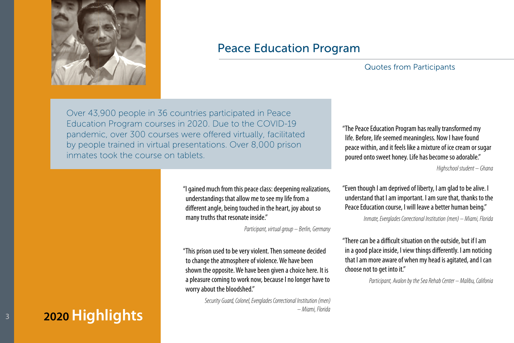

### Peace Education Program

#### Quotes from Participants

Over 43,900 people in 36 countries participated in Peace Education Program courses in 2020. Due to the COVID-19 pandemic, over 300 courses were offered virtually, facilitated by people trained in virtual presentations. Over 8,000 prison inmates took the course on tablets.

"The Peace Education Program has really transformed my life. Before, life seemed meaningless. Now I have found peace within, and it feels like a mixture of ice cream or sugar poured onto sweet honey. Life has become so adorable."

*Highschool student – Ghana*

"I gained much from this peace class: deepening realizations, understandings that allow me to see my life from a different angle, being touched in the heart, joy about so many truths that resonate inside."

*Participant, virtual group – Berlin, Germany* 

"This prison used to be very violent. Then someone decided to change the atmosphere of violence. We have been shown the opposite. We have been given a choice here. It is a pleasure coming to work now, because I no longer have to worry about the bloodshed."

> *Security Guard, Colonel, Everglades Correctional Institution (men) – Miami, Florida*

"Even though I am deprived of liberty, I am glad to be alive. I understand that I am important. I am sure that, thanks to the Peace Education course, I will leave a better human being."

*Inmate, Everglades Correctional Institution (men) – Miami, Florida*

"There can be a difficult situation on the outside, but if I am in a good place inside, I view things differently. I am noticing that I am more aware of when my head is agitated, and I can choose not to get into it."

*Participant, Avalon by the Sea Rehab Center – Malibu, Califonia*

### **2020 Highlights**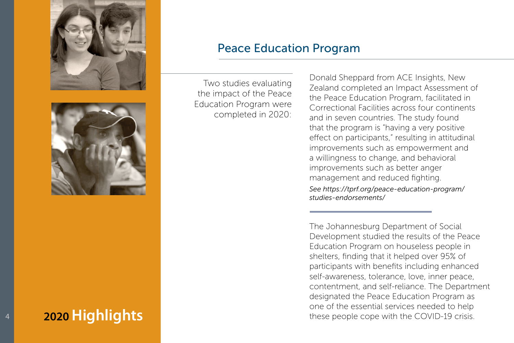



## **2020 Highlights**

### Peace Education Program

Two studies evaluating the impact of the Peace Education Program were completed in 2020:

Donald Sheppard from ACE Insights, New Zealand completed an Impact Assessment of the Peace Education Program, facilitated in Correctional Facilities across four continents and in seven countries. The study found that the program is "having a very positive effect on participants," resulting in attitudinal improvements such as empowerment and a willingness to change, and behavioral improvements such as better anger management and reduced fighting.

*See https://tprf.org/peace-education-program/ studies-endorsements/*

The Johannesburg Department of Social Development studied the results of the Peace Education Program on houseless people in shelters, finding that it helped over 95% of participants with benefits including enhanced self-awareness, tolerance, love, inner peace, contentment, and self-reliance. The Department designated the Peace Education Program as one of the essential services needed to help these people cope with the COVID-19 crisis.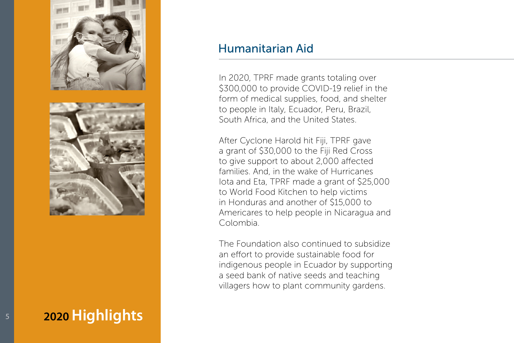

**2020 Highlights**

5

### Humanitarian Aid

In 2020, TPRF made grants totaling over \$300,000 to provide COVID-19 relief in the form of medical supplies, food, and shelter to people in Italy, Ecuador, Peru, Brazil, South Africa, and the United States.

After Cyclone Harold hit Fiji, TPRF gave a grant of \$30,000 to the Fiji Red Cross to give support to about 2,000 affected families. And, in the wake of Hurricanes Iota and Eta, TPRF made a grant of \$25,000 to World Food Kitchen to help victims in Honduras and another of \$15,000 to Americares to help people in Nicaragua and Colombia.

The Foundation also continued to subsidize an effort to provide sustainable food for indigenous people in Ecuador by supporting a seed bank of native seeds and teaching villagers how to plant community gardens.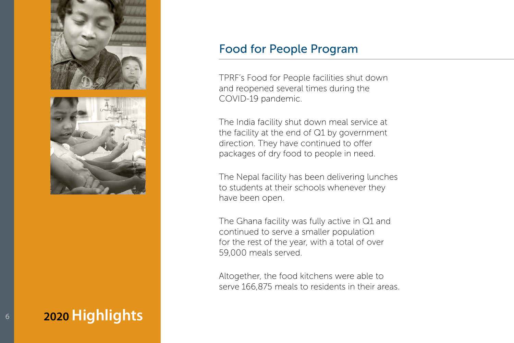

## **2020 Highlights**

### Food for People Program

TPRF's Food for People facilities shut down and reopened several times during the COVID-19 pandemic.

The India facility shut down meal service at the facility at the end of Q1 by government direction. They have continued to offer packages of dry food to people in need.

The Nepal facility has been delivering lunches to students at their schools whenever they have been open.

The Ghana facility was fully active in Q1 and continued to serve a smaller population for the rest of the year, with a total of over 59,000 meals served.

Altogether, the food kitchens were able to serve 166,875 meals to residents in their areas.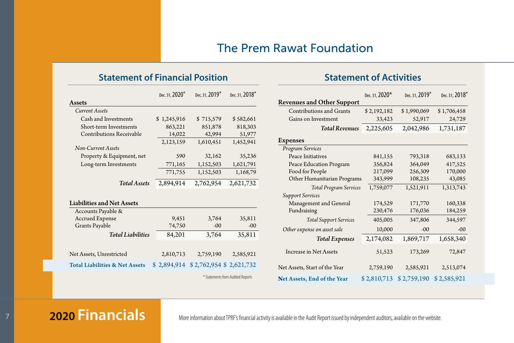#### **Statement of Financial Position Statement of Activities**

|                                           | Dec. 31, 2020 <sup>*</sup> | Dec. 31, 2019 <sup>*</sup> | Dec. 31, 2018 <sup>*</sup> |
|-------------------------------------------|----------------------------|----------------------------|----------------------------|
| <b>Assets</b>                             |                            |                            |                            |
| <b>Current Assets</b>                     |                            |                            |                            |
| Cash and Investments                      | \$1,245,916                | \$715,579                  | \$582,661                  |
| Short-term Investments                    | 863,221                    | 851,878                    | 818,303                    |
| <b>Contributions Receivable</b>           | 14,022                     | 42,994                     | 51,977                     |
|                                           | 2,123,159                  | 1,610,451                  | 1,452,941                  |
| Non-Current Assets                        |                            |                            |                            |
| Property & Equipment, net                 | 590                        | 32,162                     | 35,236                     |
| Long-term Investments                     | 771,165                    | 1,152,503                  | 1,621,791                  |
|                                           | 771,755                    | 1,152,503                  | 1,168,79                   |
| <b>Total Assets</b>                       | 2,894,914                  | 2,762,954                  | 2,621,732                  |
|                                           |                            |                            |                            |
| <b>Liabilities and Net Assets</b>         |                            |                            |                            |
| Accounts Payable &                        |                            |                            |                            |
| <b>Accrued Expense</b>                    | 9,451                      | 3,764                      | 35,811                     |
| Grants Payable                            | 74,750                     | $-00$                      | $-00$                      |
| <b>Total Liabilities</b>                  | 84,201                     | 3,764                      | 35,811                     |
|                                           |                            |                            |                            |
| Net Assets, Unrestricted                  | 2,810,713                  | 2,759,190                  | 2,585,921                  |
| <b>Total Liabilities &amp; Net Assets</b> | \$2,894,914                |                            | \$2,762,954 \$2,621,732    |
| * Statements from Audited Reports         |                            |                            |                            |

|                                    | Dec. 31, 2020* | Dec. 31, 2019* | Dec. 31, 2018* |
|------------------------------------|----------------|----------------|----------------|
| <b>Revenues and Other Support</b>  |                |                |                |
| Contributions and Grants           | \$2,192,182    | \$1,990,069    | \$1,706,458    |
| Gains on Investment                | 33,423         | 52,917         | 24,729         |
| <b>Total Revenues</b>              | 2,225,605      | 2,042,986      | 1,731,187      |
| Expenses                           |                |                |                |
| Program Services                   |                |                |                |
| Peace Initiatives                  | 841,155        | 793,318        | 683,133        |
| Peace Education Program            | 356,824        | 364,049        | 417,525        |
| Food for People                    | 217,099        | 256,309        | 170,000        |
| Other Humanitarian Programs        | 343,999        | 108,235        | 43,085         |
| <b>Total Program Services</b>      | 1,759,077      | 1,521,911      | 1,313,743      |
| <b>Support Services</b>            |                |                |                |
| Management and General             | 174,529        | 171,770        | 160,338        |
| Fundraising                        | 230,476        | 176,036        | 184,259        |
| <b>Total Support Services</b>      | 405,005        | 347,806        | 344,597        |
| Other expense on asset sale        | 10,000         | $-00$          | $-00$          |
| <b>Total Expenses</b>              | 2,174,082      | 1,869,717      | 1,658,340      |
| <b>Increase in Net Assets</b>      | 51,523         | 173,269        | 72,847         |
| Net Assets, Start of the Year      | 2,759,190      | 2,585,921      | 2,513,074      |
| <b>Net Assets, End of the Year</b> | \$2,810,713    | \$2,759,190    | \$2,585,921    |

### <sup>7</sup> **2020 Financials**

More information about TPRF's financial activity is available in the Audit Report issued by independent auditors, available on the website.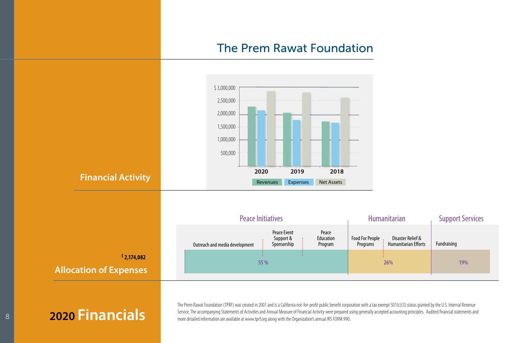

<sup>8</sup> **2020 Financials**

The Prem Rawat Foundation (TPRF) was created in 2001 and is a California not-for-profit public benefit corporation with a tax exempt 501(c)(3) status granted by the U.S. Internal Revenue Service. The accompanying Statements of Activities and Annual Measure of Financial Activity were prepared using generally accepted accounting principles. Audited financial statements and more detailed information are available at www.tprf.org along with the Organization's annual IRS FORM 990.